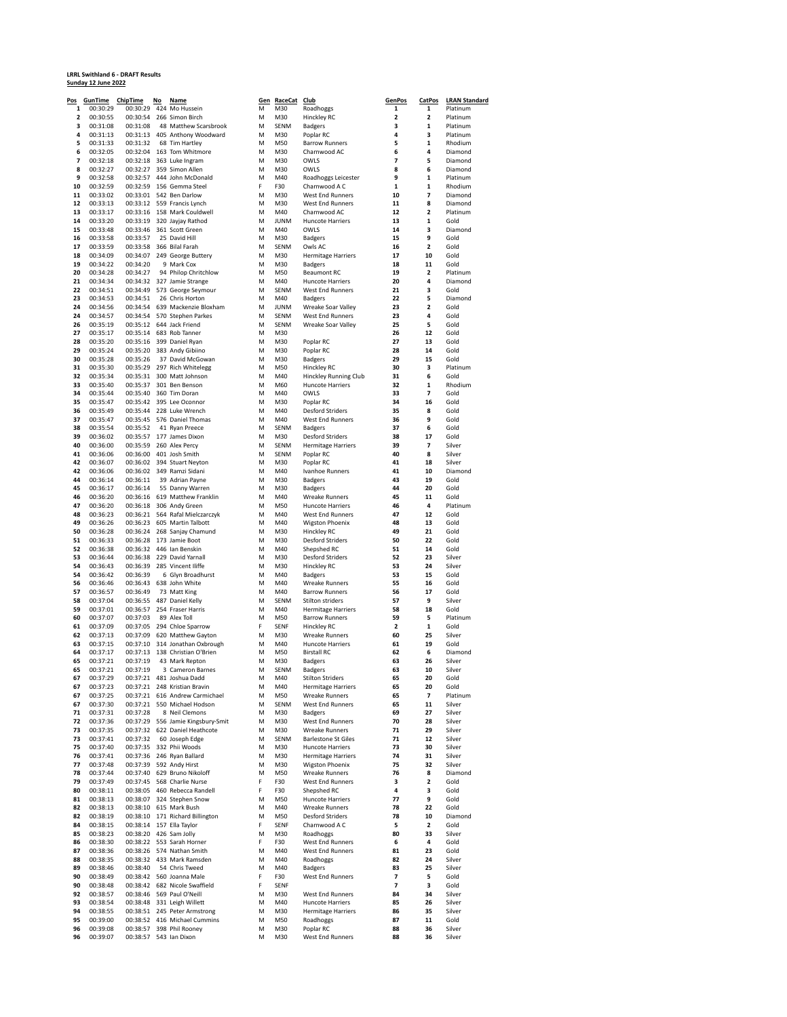## **LRRL Swithland 6 - DRAFT Results<br>Sunday 12 June 2022**

| <u>Pos</u> | GunTime              | <b>ChipTime</b>      | No | Name                                                   |        | Gen RaceCat        | Club                                          | <b>GenPos</b>       | <b>CatPos</b>                  | <b>LRAN Standard</b> |
|------------|----------------------|----------------------|----|--------------------------------------------------------|--------|--------------------|-----------------------------------------------|---------------------|--------------------------------|----------------------|
| 1          | 00:30:29             | 00:30:29             |    | 424 Mo Hussein                                         | M      | M30                | Roadhoggs                                     | 1                   | 1                              | Platinum             |
| 2<br>3     | 00:30:55<br>00:31:08 | 00:30:54<br>00:31:08 |    | 266 Simon Birch                                        | M<br>M | M30<br>SENM        | Hinckley RC                                   | 2<br>3              | 2<br>1                         | Platinum<br>Platinum |
| 4          | 00:31:13             |                      |    | 48 Matthew Scarsbrook<br>00:31:13 405 Anthony Woodward | M      | M30                | <b>Badgers</b><br>Poplar RC                   | 4                   | 3                              | Platinum             |
| 5          | 00:31:33             | 00:31:32             |    | 68 Tim Hartlev                                         | M      | M50                | <b>Barrow Runners</b>                         | 5                   | 1                              | Rhodium              |
| 6          | 00:32:05             | 00:32:04             |    | 163 Tom Whitmore                                       | M      | M30                | Charnwood AC                                  | 6                   | 4                              | Diamond              |
| 7          | 00:32:18             | 00:32:18             |    | 363 Luke Ingram                                        | M      | M30                | OWLS                                          | 7                   | 5                              | Diamond              |
| 8          | 00:32:27             | 00:32:27             |    | 359 Simon Allen                                        | M      | M30                | OWLS                                          | 8                   | 6                              | Diamond              |
| 9          | 00:32:58             | 00:32:57             |    | 444 John McDonald                                      | M      | M40                | Roadhoggs Leicester                           | 9                   | 1                              | Platinum             |
| 10         | 00:32:59             | 00:32:59             |    | 156 Gemma Steel                                        | F      | F30                | Charnwood A C                                 | 1                   | $\mathbf 1$                    | Rhodium              |
| 11         | 00:33:02             | 00:33:01             |    | 542 Ben Darlow                                         | M      | M30                | West End Runners                              | 10                  | 7                              | Diamond              |
| 12         | 00:33:13             |                      |    | 00:33:12 559 Francis Lynch                             | M      | M30                | West End Runners                              | 11                  | 8                              | Diamond              |
| 13<br>14   | 00:33:17             | 00:33:16             |    | 158 Mark Couldwell                                     | M      | M40                | Charnwood AC                                  | 12                  | 2                              | Platinum             |
| 15         | 00:33:20<br>00:33:48 | 00:33:19<br>00:33:46 |    | 320 Jayjay Rathod<br>361 Scott Green                   | M<br>M | <b>JUNM</b><br>M40 | Huncote Harriers<br>OWLS                      | 13<br>14            | $\mathbf 1$<br>3               | Gold<br>Diamond      |
| 16         | 00:33:58             | 00:33:57             |    | 25 David Hill                                          | M      | M30                | <b>Badgers</b>                                | 15                  | 9                              | Gold                 |
| 17         | 00:33:59             | 00:33:58             |    | 366 Bilal Farah                                        | M      | SENM               | Owls AC                                       | 16                  | 2                              | Gold                 |
| 18         | 00:34:09             | 00:34:07             |    | 249 George Buttery                                     | M      | M30                | <b>Hermitage Harriers</b>                     | 17                  | 10                             | Gold                 |
| 19         | 00:34:22             | 00:34:20             |    | 9 Mark Cox                                             | M      | M30                | <b>Badgers</b>                                | 18                  | 11                             | Gold                 |
| 20         | 00:34:28             | 00:34:27             |    | 94 Philop Chritchlow                                   | M      | M50                | <b>Beaumont RC</b>                            | 19                  | 2                              | Platinum             |
| 21         | 00:34:34             |                      |    | 00:34:32 327 Jamie Strange                             | M      | M40                | <b>Huncote Harriers</b>                       | 20                  | 4                              | Diamond              |
| 22         | 00:34:51             | 00:34:49             |    | 573 George Seymour                                     | M      | SENM               | West End Runners                              | 21                  | 3                              | Gold                 |
| 23         | 00:34:53             | 00:34:51             |    | 26 Chris Horton                                        | M      | M40                | <b>Badgers</b>                                | 22                  | 5                              | Diamond              |
| 24         | 00:34:56             | 00:34:54             |    | 639 Mackenzie Bloxham                                  | M      | <b>JUNM</b>        | Wreake Soar Valley                            | 23                  | $\overline{\mathbf{2}}$        | Gold                 |
| 24<br>26   | 00:34:57<br>00:35:19 | 00:34:54<br>00:35:12 |    | 570 Stephen Parkes<br>644 Jack Friend                  | M<br>M | SENM<br>SENM       | West End Runners                              | 23<br>25            | 4<br>5                         | Gold<br>Gold         |
| 27         | 00:35:17             | 00:35:14             |    | 683 Rob Tanner                                         | M      | M30                | Wreake Soar Valley                            | 26                  | 12                             | Gold                 |
| 28         | 00:35:20             | 00:35:16             |    | 399 Daniel Ryan                                        | M      | M30                | Poplar RC                                     | 27                  | 13                             | Gold                 |
| 29         | 00:35:24             | 00:35:20             |    | 383 Andy Gibiino                                       | M      | M30                | Poplar RC                                     | 28                  | 14                             | Gold                 |
| 30         | 00:35:28             | 00:35:26             |    | 37 David McGowan                                       | M      | M30                | <b>Badgers</b>                                | 29                  | 15                             | Gold                 |
| 31         | 00:35:30             |                      |    | 00:35:29 297 Rich Whitelegg                            | M      | M50                | Hinckley RC                                   | 30                  | 3                              | Platinum             |
| 32         | 00:35:34             | 00:35:31             |    | 300 Matt Johnson                                       | M      | M40                | <b>Hinckley Running Club</b>                  | 31                  | 6                              | Gold                 |
| 33         | 00:35:40             | 00:35:37             |    | 301 Ben Benson                                         | M      | M60                | <b>Huncote Harriers</b>                       | 32                  | $\mathbf 1$                    | Rhodium              |
| 34         | 00:35:44             | 00:35:40             |    | 360 Tim Doran                                          | M      | M40                | OWLS                                          | 33                  | 7                              | Gold                 |
| 35         | 00:35:47             | 00:35:42             |    | 395 Lee Oconnor                                        | M      | M30                | Poplar RC                                     | 34                  | 16                             | Gold                 |
| 36<br>37   | 00:35:49<br>00:35:47 | 00:35:44             |    | 228 Luke Wrench<br>576 Daniel Thomas                   | M<br>M | M40<br>M40         | <b>Desford Striders</b><br>West End Runners   | 35<br>36            | 8<br>9                         | Gold<br>Gold         |
| 38         | 00:35:54             | 00:35:45<br>00:35:52 |    | 41 Ryan Preece                                         | M      | SENM               | <b>Badgers</b>                                | 37                  | 6                              | Gold                 |
| 39         | 00:36:02             | 00:35:57             |    | 177 James Dixon                                        | M      | M30                | Desford Striders                              | 38                  | 17                             | Gold                 |
| 40         | 00:36:00             | 00:35:59             |    | 260 Alex Percy                                         | M      | SENM               | <b>Hermitage Harriers</b>                     | 39                  | 7                              | Silver               |
| 41         | 00:36:06             | 00:36:00             |    | 401 Josh Smith                                         | M      | SENM               | Poplar RC                                     | 40                  | 8                              | Silver               |
| 42         | 00:36:07             | 00:36:02             |    | 394 Stuart Neyton                                      | M      | M30                | Poplar RC                                     | 41                  | 18                             | Silver               |
| 42         | 00:36:06             | 00:36:02             |    | 349 Ramzi Sidani                                       | M      | M40                | Ivanhoe Runners                               | 41                  | 10                             | Diamond              |
| 44         | 00:36:14             | 00:36:11             |    | 39 Adrian Payne                                        | M      | M30                | <b>Badgers</b>                                | 43                  | 19                             | Gold                 |
| 45         | 00:36:17             | 00:36:14             |    | 55 Danny Warren                                        | M      | M30                | <b>Badgers</b>                                | 44                  | 20                             | Gold                 |
| 46         | 00:36:20             |                      |    | 00:36:16 619 Matthew Franklin                          | M      | M40                | Wreake Runners                                | 45                  | 11                             | Gold                 |
| 47<br>48   | 00:36:20             | 00:36:18             |    | 306 Andy Green                                         | M      | M50<br>M40         | <b>Huncote Harriers</b>                       | 46<br>47            | 4<br>12                        | Platinum<br>Gold     |
| 49         | 00:36:23<br>00:36:26 | 00:36:21<br>00:36:23 |    | 564 Rafal Mielczarczyk<br>605 Martin Talbott           | M<br>M | M40                | West End Runners<br><b>Wigston Phoenix</b>    | 48                  | 13                             | Gold                 |
| 50         | 00:36:28             | 00:36:24             |    | 268 Sanjay Chamund                                     | M      | M30                | Hinckley RC                                   | 49                  | 21                             | Gold                 |
| 51         | 00:36:33             | 00:36:28             |    | 173 Jamie Boot                                         | M      | M30                | <b>Desford Striders</b>                       | 50                  | 22                             | Gold                 |
| 52         | 00:36:38             | 00:36:32             |    | 446 Ian Benskin                                        | M      | M40                | Shepshed RC                                   | 51                  | 14                             | Gold                 |
| 53         | 00:36:44             | 00:36:38             |    | 229 David Yarnall                                      | M      | M30                | <b>Desford Striders</b>                       | 52                  | 23                             | Silver               |
| 54         | 00:36:43             | 00:36:39             |    | 285 Vincent Iliffe                                     | M      | M30                | Hinckley RC                                   | 53                  | 24                             | Silver               |
| 54         | 00:36:42             | 00:36:39             |    | 6 Glyn Broadhurst                                      | M      | M40                | <b>Badgers</b>                                | 53                  | 15                             | Gold                 |
| 56         | 00:36:46             | 00:36:43             |    | 638 John White                                         | M      | M40                | Wreake Runners                                | 55                  | 16                             | Gold                 |
| 57         | 00:36:57             | 00:36:49             |    | 73 Matt King                                           | M      | M40                | <b>Barrow Runners</b>                         | 56                  | 17                             | Gold                 |
| 58<br>59   | 00:37:04<br>00:37:01 | 00:36:55<br>00:36:57 |    | 487 Daniel Kelly<br>254 Fraser Harris                  | M<br>M | SENM<br>M40        | Stilton striders<br><b>Hermitage Harriers</b> | 57<br>58            | 9<br>18                        | Silver<br>Gold       |
| 60         | 00:37:07             | 00:37:03             |    | 89 Alex Toll                                           | M      | M50                | <b>Barrow Runners</b>                         | 59                  | 5                              | Platinum             |
| 61         | 00:37:09             | 00:37:05             |    | 294 Chloe Sparrow                                      | F      | SENF               | Hinckley RC                                   | 2                   | 1                              | Gold                 |
| 62         | 00:37:13             | 00:37:09             |    | 620 Matthew Gayton                                     | M      | M30                | Wreake Runners                                | 60                  | 25                             | Silver               |
| 63         | 00:37:15             | 00:37:10             |    | 314 Jonathan Oxbrough                                  | М      | M40                | Huncote Harriers                              | 61                  | 19                             | Gold                 |
| 64         | 00:37:17             |                      |    | 00:37:13 138 Christian O'Brien                         | M      | M50                | <b>Birstall RC</b>                            | 62                  | 6                              | Diamond              |
| 65         | 00:37:21             | 00:37:19             |    | 43 Mark Repton                                         | M      | M30                | <b>Badgers</b>                                | 63                  | 26                             | Silver               |
| 65         | 00:37:21             | 00:37:19             |    | 3 Cameron Barnes                                       | M      | SENM               | <b>Badgers</b>                                | 63                  | 10                             | Silver               |
| 67         | 00:37:29             |                      |    | 00:37:21 481 Joshua Dadd                               | M      | M40                | <b>Stilton Striders</b>                       | 65                  | 20                             | Gold                 |
| 67         | 00:37:23             | 00:37:21             |    | 248 Kristian Bravin                                    | M      | M40                | <b>Hermitage Harriers</b>                     | 65                  | 20<br>$\overline{\phantom{a}}$ | Gold                 |
| 67<br>67   | 00:37:25<br>00:37:30 | 00:37:21<br>00:37:21 |    | 616 Andrew Carmichael<br>550 Michael Hodson            | М<br>M | M50<br>SENM        | <b>Wreake Runners</b><br>West End Runners     | 65<br>65            | 11                             | Platinum<br>Silver   |
| 71         | 00:37:31             | 00:37:28             |    | 8 Neil Clemons                                         | M      | M30                | <b>Badgers</b>                                | 69                  | 27                             | Silver               |
| 72         | 00:37:36             |                      |    | 00:37:29 556 Jamie Kingsbury-Smit                      | M      | M30                | West End Runners                              | 70                  | 28                             | Silver               |
| 73         | 00:37:35             |                      |    | 00:37:32 622 Daniel Heathcote                          | M      | M30                | Wreake Runners                                | 71                  | 29                             | Silver               |
| 73         | 00:37:41             | 00:37:32             |    | 60 Joseph Edge                                         | M      | SENM               | <b>Barlestone St Giles</b>                    | 71                  | 12                             | Silver               |
| 75         | 00:37:40             |                      |    | 00:37:35 332 Phii Woods                                | M      | M30                | Huncote Harriers                              | 73                  | 30                             | Silver               |
| 76         | 00:37:41             | 00:37:36             |    | 246 Ryan Ballard                                       | M      | M30                | <b>Hermitage Harriers</b>                     | 74                  | 31                             | Silver               |
| 77         | 00:37:48             | 00:37:39             |    | 592 Andy Hirst                                         | M      | M30                | <b>Wigston Phoenix</b>                        | 75                  | 32                             | Silver               |
| 78         | 00:37:44             | 00:37:40             |    | 629 Bruno Nikoloff                                     | M      | M50                | <b>Wreake Runners</b>                         | 76                  | 8                              | Diamond              |
| 79<br>80   | 00:37:49<br>00:38:11 | 00:37:45<br>00:38:05 |    | 568 Charlie Nurse<br>460 Rebecca Randell               | F<br>F | F30<br>F30         | West End Runners<br>Shepshed RC               | 3<br>4              | 2<br>3                         | Gold<br>Gold         |
| 81         | 00:38:13             | 00:38:07             |    | 324 Stephen Snow                                       | M      | M50                | Huncote Harriers                              | 77                  | 9                              | Gold                 |
| 82         | 00:38:13             | 00:38:10             |    | 615 Mark Bush                                          | M      | M40                | Wreake Runners                                | 78                  | 22                             | Gold                 |
| 82         | 00:38:19             |                      |    | 00:38:10 171 Richard Billington                        | M      | M50                | <b>Desford Striders</b>                       | 78                  | 10                             | Diamond              |
| 84         | 00:38:15             | 00:38:14             |    | 157 Ella Taylor                                        | F      | SENF               | Charnwood A C                                 | 5                   | 2                              | Gold                 |
| 85         | 00:38:23             | 00:38:20             |    | 426 Sam Jolly                                          | M      | M30                | Roadhoggs                                     | 80                  | 33                             | Silver               |
| 86         | 00:38:30             | 00:38:22             |    | 553 Sarah Horner                                       | F      | F30                | West End Runners                              | 6                   | 4                              | Gold                 |
| 87         | 00:38:36             | 00:38:26             |    | 574 Nathan Smith                                       | M      | M40                | West End Runners                              | 81                  | 23                             | Gold                 |
| 88         | 00:38:35             | 00:38:32             |    | 433 Mark Ramsden                                       | M      | M40                | Roadhoggs                                     | 82                  | 24                             | Silver               |
| 89         | 00:38:46             | 00:38:40             |    | 54 Chris Tweed                                         | M      | M40                | <b>Badgers</b>                                | 83                  | 25                             | Silver               |
| 90         | 00:38:49             | 00:38:42             |    | 560 Joanna Male                                        | F      | F30                | West End Runners                              | 7<br>$\overline{7}$ | 5                              | Gold                 |
| 90<br>92   | 00:38:48<br>00:38:57 | 00:38:42<br>00:38:46 |    | 682 Nicole Swaffield<br>569 Paul O'Neill               | F<br>M | SENF<br>M30        | West End Runners                              | 84                  | 3<br>34                        | Gold<br>Silver       |
| 93         | 00:38:54             | 00:38:48             |    | 331 Leigh Willett                                      | M      | M40                | <b>Huncote Harriers</b>                       | 85                  | 26                             | Silver               |
| 94         | 00:38:55             | 00:38:51             |    | 245 Peter Armstrong                                    | M      | M30                | <b>Hermitage Harriers</b>                     | 86                  | 35                             | Silver               |
| 95         | 00:39:00             | 00:38:52             |    | 416 Michael Cummins                                    | M      | M50                | Roadhoggs                                     | 87                  | 11                             | Gold                 |
| 96         | 00:39:08             | 00:38:57             |    | 398 Phil Rooney                                        | M      | M30                | Poplar RC                                     | 88                  | 36                             | Silver               |
| 96         | 00:39:07             |                      |    | 00:38:57 543 Ian Dixon                                 | M      | M30                | West End Runners                              | 88                  | 36                             | Silver               |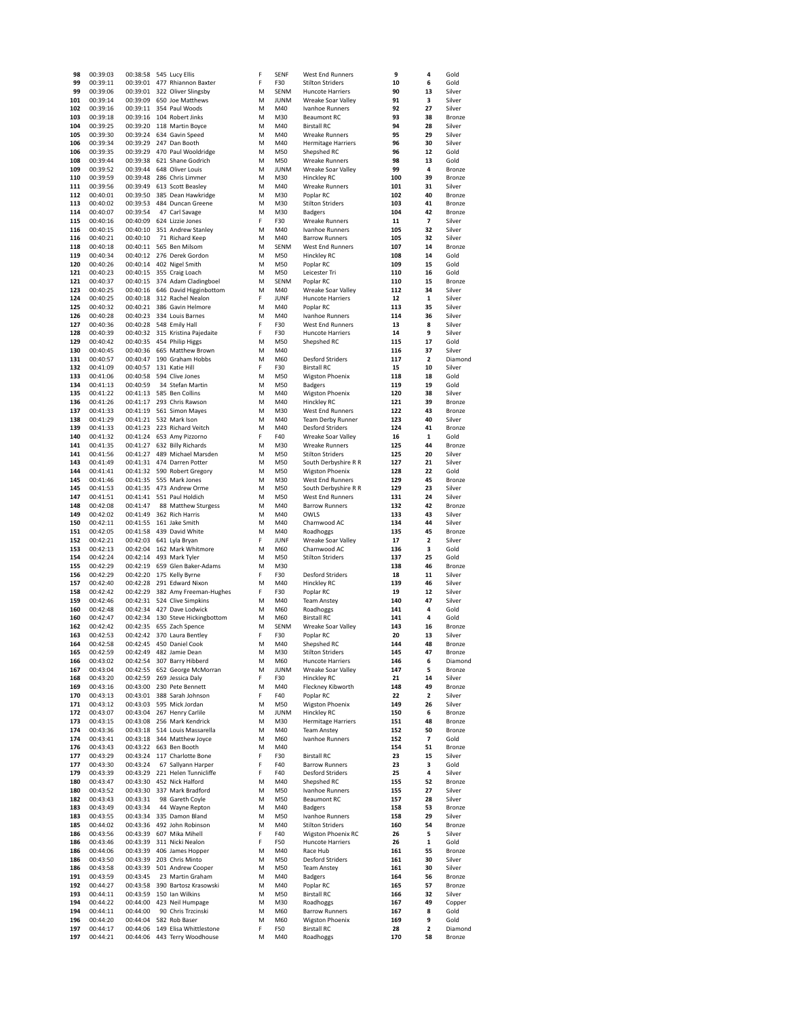| 98         | 00:39:03             | 00:38:58 545 Lucy Ellis |                                                   | F      | SENF        | West End Runners                                | 9          | 4                       | Gold             |
|------------|----------------------|-------------------------|---------------------------------------------------|--------|-------------|-------------------------------------------------|------------|-------------------------|------------------|
| 99         | 00:39:11             | 00:39:01                | 477 Rhiannon Baxter                               | F      | F30         | <b>Stilton Striders</b>                         | 10         | 6                       | Gold             |
| 99         | 00:39:06             | 00:39:01                | 322 Oliver Slingsby                               | M      | SENM        | Huncote Harriers                                | 90         | 13                      | Silver           |
| 101        | 00:39:14             | 00:39:09                | 650 Joe Matthews                                  | M      | <b>JUNM</b> | Wreake Soar Valley                              | 91         | з                       | Silver           |
| 102        | 00:39:16             | 00:39:11                | 354 Paul Woods                                    | М      | M40         | Ivanhoe Runners                                 | 92         | 27                      | Silver           |
| 103        | 00:39:18             | 00:39:16                | 104 Robert Jinks                                  | M      | M30         | <b>Beaumont RC</b>                              | 93         | 38                      | Bronze           |
| 104        | 00:39:25<br>00:39:30 | 00:39:20                | 118 Martin Boyce<br>634 Gavin Speed               | M<br>M | M40<br>M40  | <b>Birstall RC</b><br><b>Wreake Runners</b>     | 94<br>95   | 28<br>29                | Silver<br>Silver |
| 105<br>106 | 00:39:34             | 00:39:24<br>00:39:29    | 247 Dan Booth                                     | м      | M40         | <b>Hermitage Harriers</b>                       | 96         | 30                      | Silver           |
| 106        | 00:39:35             | 00:39:29                | 470 Paul Wooldridge                               | М      | M50         | Shepshed RC                                     | 96         | 12                      | Gold             |
| 108        | 00:39:44             | 00:39:38                | 621 Shane Godrich                                 | М      | M50         | <b>Wreake Runners</b>                           | 98         | 13                      | Gold             |
| 109        | 00:39:52             | 00:39:44                | 648 Oliver Louis                                  | M      | JUNM        | Wreake Soar Valley                              | 99         | 4                       | Bronze           |
| 110        | 00:39:59             | 00:39:48                | 286 Chris Limmer                                  | M      | M30         | Hinckley RC                                     | 100        | 39                      | Bronze           |
| 111        | 00:39:56             | 00:39:49                | 613 Scott Beasley                                 | М      | M40         | Wreake Runners                                  | 101        | 31                      | Silver           |
| 112        | 00:40:01             | 00:39:50                | 385 Dean Hawkridge                                | М      | M30         | Poplar RC                                       | 102        | 40                      | Bronze           |
| 113        | 00:40:02             | 00:39:53                | 484 Duncan Greene                                 | М      | M30         | <b>Stilton Striders</b>                         | 103        | 41                      | Bronze           |
| 114        | 00:40:07             | 00:39:54                | 47 Carl Savage                                    | M      | M30         | <b>Badgers</b>                                  | 104        | 42                      | Bronze           |
| 115        | 00:40:16             | 00:40:09                | 624 Lizzie Jones                                  | F      | F30         | Wreake Runners                                  | 11         | 7                       | Silver           |
| 116        | 00:40:15             | 00:40:10                | 351 Andrew Stanley                                | М      | M40         | Ivanhoe Runners                                 | 105        | 32                      | Silver           |
| 116        | 00:40:21             | 00:40:10                | 71 Richard Keep                                   | M      | M40         | <b>Barrow Runners</b>                           | 105        | 32                      | Silver           |
| 118        | 00:40:18             |                         | 00:40:11 565 Ben Milsom                           | М      | SENM        | West End Runners                                | 107        | 14                      | Bronze           |
| 119        | 00:40:34             | 00:40:12                | 276 Derek Gordon                                  | М      | M50         | Hinckley RC                                     | 108        | 14                      | Gold             |
| 120        | 00:40:26             | 00:40:14                | 402 Nigel Smith                                   | M      | M50         | Poplar RC                                       | 109        | 15                      | Gold             |
| 121        | 00:40:23             | 00:40:15                | 355 Craig Loach                                   | M      | M50         | Leicester Tri                                   | 110        | 16                      | Gold             |
| 121        | 00:40:37             | 00:40:15                | 374 Adam Cladingboel                              | M      | SENM        | Poplar RC                                       | 110        | 15                      | Bronze           |
| 123        | 00:40:25             | 00:40:16                | 646 David Higginbottom                            | M      | M40         | Wreake Soar Valley                              | 112        | 34                      | Silver           |
| 124        | 00:40:25             | 00:40:18                | 312 Rachel Nealon                                 | F      | JUNF        | <b>Huncote Harriers</b>                         | 12         | 1                       | Silver           |
| 125        | 00:40:32             | 00:40:21                | 386 Gavin Helmore                                 | M      | M40         | Poplar RC                                       | 113        | 35                      | Silver           |
| 126        | 00:40:28             | 00:40:23                | 334 Louis Barnes                                  | M      | M40         | Ivanhoe Runners                                 | 114        | 36                      | Silver           |
| 127        | 00:40:36             | 00:40:28                | 548 Emily Hall                                    | F      | F30         | West End Runners                                | 13         | 8                       | Silver           |
| 128        | 00:40:39             | 00:40:32                | 315 Kristina Pajedaite                            | F      | F30         | Huncote Harriers                                | 14         | 9                       | Silver           |
| 129        | 00:40:42             | 00:40:35                | 454 Philip Higgs                                  | M      | M50         | Shepshed RC                                     | 115        | 17                      | Gold             |
| 130        | 00:40:45             | 00:40:36                | 665 Matthew Brown                                 | M      | M40         |                                                 | 116        | 37                      | Silver           |
| 131        | 00:40:57             | 00:40:47                | 190 Graham Hobbs                                  | M      | M60         | <b>Desford Striders</b>                         | 117        | $\overline{\mathbf{2}}$ | Diamond          |
| 132        | 00:41:09             | 00:40:57                | 131 Katie Hill                                    | F      | F30         | <b>Birstall RC</b>                              | 15         | 10                      | Silver           |
| 133        | 00:41:06             | 00:40:58                | 594 Clive Jones                                   | М      | M50         | <b>Wigston Phoenix</b>                          | 118        | 18                      | Gold             |
| 134        | 00:41:13             | 00:40:59                | 34 Stefan Martin                                  | M      | M50         | <b>Badgers</b>                                  | 119        | 19                      | Gold             |
| 135        | 00:41:22             | 00:41:13                | 585 Ben Collins                                   | M      | M40         | Wigston Phoenix                                 | 120        | 38                      | Silver           |
| 136        | 00:41:26             | 00:41:17                | 293 Chris Rawson                                  | М      | M40         | Hinckley RC                                     | 121        | 39                      | Bronze           |
| 137        | 00:41:33             | 00:41:19                | 561 Simon Mayes                                   | M      | M30         | West End Runners                                | 122        | 43                      | Bronze           |
| 138        | 00:41:29             |                         | 00:41:21 532 Mark Ison                            | М      | M40         | <b>Team Derby Runner</b>                        | 123        | 40                      | Silver           |
| 139        | 00:41:33             | 00:41:23                | 223 Richard Veitch                                | M      | M40         | <b>Desford Striders</b>                         | 124        | 41                      | Bronze           |
| 140        | 00:41:32             | 00:41:24                | 653 Amy Pizzorno                                  | F      | F40         | Wreake Soar Valley                              | 16         | 1<br>44                 | Gold             |
| 141        | 00:41:35             | 00:41:27<br>00:41:27    | 632 Billy Richards                                | М<br>M | M30<br>M50  | <b>Wreake Runners</b>                           | 125<br>125 | 20                      | Bronze<br>Silver |
| 141<br>143 | 00:41:56<br>00:41:49 |                         | 489 Michael Marsden<br>00:41:31 474 Darren Potter | M      | M50         | <b>Stilton Striders</b><br>South Derbyshire R R | 127        | 21                      | Silver           |
|            | 00:41:41             | 00:41:32                | 590 Robert Gregory                                |        | M50         | <b>Wigston Phoenix</b>                          | 128        | 22                      | Gold             |
| 144<br>145 | 00:41:46             | 00:41:35                | 555 Mark Jones                                    | М<br>M | M30         | West End Runners                                | 129        | 45                      | Bronze           |
| 145        | 00:41:53             | 00:41:35                | 473 Andrew Orme                                   | M      | M50         | South Derbyshire R R                            | 129        | 23                      | Silver           |
| 147        | 00:41:51             | 00:41:41                | 551 Paul Holdich                                  | M      | M50         | West End Runners                                | 131        | 24                      | Silver           |
| 148        | 00:42:08             | 00:41:47                | 88 Matthew Sturgess                               | м      | M40         | <b>Barrow Runners</b>                           | 132        | 42                      | Bronze           |
| 149        | 00:42:02             | 00:41:49                | 362 Rich Harris                                   | M      | M40         | OWLS                                            | 133        | 43                      | Silver           |
| 150        | 00:42:11             | 00:41:55                | 161 Jake Smith                                    | M      | M40         | Charnwood AC                                    | 134        | 44                      | Silver           |
| 151        | 00:42:05             | 00:41:58                | 439 David White                                   | M      | M40         | Roadhoggs                                       | 135        | 45                      | Bronze           |
| 152        | 00:42:21             | 00:42:03                | 641 Lyla Bryan                                    | F      | JUNF        | Wreake Soar Valley                              | 17         | $\overline{\mathbf{2}}$ | Silver           |
| 153        | 00:42:13             | 00:42:04                | 162 Mark Whitmore                                 | M      | M60         | Charnwood AC                                    | 136        | 3                       | Gold             |
| 154        | 00:42:24             | 00:42:14                | 493 Mark Tyler                                    | M      | M50         | <b>Stilton Striders</b>                         | 137        | 25                      | Gold             |
| 155        | 00:42:29             | 00:42:19                | 659 Glen Baker-Adams                              | M      | M30         |                                                 | 138        | 46                      | Bronze           |
| 156        | 00:42:29             | 00:42:20                | 175 Kelly Byrne                                   | F      | F30         | <b>Desford Striders</b>                         | 18         | 11                      | Silver           |
| 157        | 00:42:40             | 00:42:28                | 291 Edward Nixon                                  | М      | M40         | Hinckley RC                                     | 139        | 46                      | Silver           |
| 158        | 00:42:42             | 00:42:29                | 382 Amy Freeman-Hughes                            | F      | F30         | Poplar RC                                       | 19         | 12                      | Silver           |
| 159        | 00:42:46             |                         | 00:42:31 524 Clive Simpkins                       | M      | M40         | <b>Team Anstey</b>                              | 140        | 47                      | Silver           |
| 160        | 00:42:48             |                         | 00:42:34 427 Dave Lodwick                         | М      | M60         | Roadhoggs                                       | 141        | 4                       | Gold             |
| 160        | 00:42:47             | 00:42:34                | 130 Steve Hickingbottom                           | М      | M60         | <b>Birstall RC</b>                              | 141        | 4                       | Gold             |
| 162        | 00:42:42             | 00:42:35                | 655 Zach Spence                                   | M      | SENM        | Wreake Soar Valley                              | 143        | 16                      | Bronze           |
| 163        | 00:42:53             |                         | 00:42:42 370 Laura Bentley                        | F      | F30         | Poplar RC                                       | 20         | 13                      | Silver           |
| 164        | 00:42:58             |                         | 00:42:45 450 Daniel Cook                          | M      | M40         | Shenshed RC                                     | 144        | 48                      | <b>Bronze</b>    |
| 165        | 00:42:59             | 00:42:49                | 482 Jamie Dean                                    | М      | M30         | <b>Stilton Striders</b>                         | 145        | 47                      | Bronze           |
| 166        | 00:43:02             | 00:42:54                | 307 Barry Hibberd                                 | М      | M60         | <b>Huncote Harriers</b>                         | 146        | 6                       | Diamond          |
| 167        | 00:43:04             | 00:42:55                | 652 George McMorran                               | М      | JUNM        | Wreake Soar Valley                              | 147        | 5                       | Bronze           |
| 168        | 00:43:20             | 00:42:59                | 269 Jessica Daly                                  | F      | F30         | Hinckley RC                                     | 21         | 14                      | Silver           |
| 169        | 00:43:16             | 00:43:00                | 230 Pete Bennett                                  | М      | M40         | Fleckney Kibworth                               | 148        | 49                      | Bronze           |
| 170        | 00:43:13             | 00:43:01                | 388 Sarah Johnson                                 | F      | F40         | Poplar RC                                       | 22         | 2                       | Silver           |
| 171        | 00:43:12             | 00:43:03                | 595 Mick Jordan                                   | М      | M50         | Wigston Phoenix                                 | 149        | 26                      | Silver           |
| 172        | 00:43:07             | 00:43:04                | 267 Henry Carlile<br>256 Mark Kendrick            | M      | JUNM        | Hinckley RC                                     | 150        | 6<br>48                 | Bronze           |
| 173        | 00:43:15             | 00:43:08                |                                                   | М<br>M | M30<br>M40  | <b>Hermitage Harriers</b><br><b>Team Anstey</b> | 151        | 50                      | Bronze<br>Bronze |
| 174        | 00:43:36<br>00:43:41 | 00:43:18                | 514 Louis Massarella<br>344 Matthew Joyce         | M      | M60         |                                                 | 152        | 7                       | Gold             |
| 174<br>176 | 00:43:43             | 00:43:18<br>00:43:22    | 663 Ben Booth                                     | M      | M40         | Ivanhoe Runners                                 | 152<br>154 | 51                      | Bronze           |
|            |                      |                         |                                                   | F      | F30         | <b>Birstall RC</b>                              | 23         | 15                      | Silver           |
| 177<br>177 | 00:43:29<br>00:43:30 | 00:43:24<br>00:43:24    | 117 Charlotte Bone<br>67 Sallyann Harper          | F      | F40         | <b>Barrow Runners</b>                           | 23         | 3                       | Gold             |
| 179        | 00:43:39             | 00:43:29                | 221 Helen Tunnicliffe                             | F      | F40         | <b>Desford Striders</b>                         | 25         | 4                       | Silver           |
| 180        | 00:43:47             | 00:43:30                | 452 Nick Halford                                  | M      | M40         | Shepshed RC                                     | 155        | 52                      | Bronze           |
| 180        | 00:43:52             | 00:43:30                | 337 Mark Bradford                                 | M      | M50         | Ivanhoe Runners                                 | 155        | 27                      | Silver           |
| 182        | 00:43:43             | 00:43:31                | 98 Gareth Coyle                                   | М      | M50         | <b>Beaumont RC</b>                              | 157        | 28                      | Silver           |
| 183        | 00:43:49             | 00:43:34                | 44 Wayne Repton                                   | M      | M40         | <b>Badgers</b>                                  | 158        | 53                      | Bronze           |
| 183        | 00:43:55             | 00:43:34                | 335 Damon Bland                                   | М      | M50         | Ivanhoe Runners                                 | 158        | 29                      | Silver           |
| 185        | 00:44:02             | 00:43:36                | 492 John Robinson                                 | M      | M40         | <b>Stilton Striders</b>                         | 160        | 54                      | Bronze           |
| 186        | 00:43:56             | 00:43:39                | 607 Mika Mihell                                   | F      | F40         | <b>Wigston Phoenix RC</b>                       | 26         | 5                       | Silver           |
| 186        | 00:43:46             | 00:43:39                | 311 Nicki Nealon                                  | F      | F50         | <b>Huncote Harriers</b>                         | 26         | 1                       | Gold             |
| 186        | 00:44:06             | 00:43:39                | 406 James Hopper                                  | М      | M40         | Race Hub                                        | 161        | 55                      | Bronze           |
| 186        | 00:43:50             | 00:43:39                | 203 Chris Minto                                   | M      | M50         | <b>Desford Striders</b>                         | 161        | 30                      | Silver           |
| 186        | 00:43:58             | 00:43:39                | 501 Andrew Cooper                                 | М      | M50         | <b>Team Anstey</b>                              | 161        | 30                      | Silver           |
| 191        | 00:43:59             | 00:43:45                | 23 Martin Graham                                  | М      | M40         | <b>Badgers</b>                                  | 164        | 56                      | Bronze           |
| 192        | 00:44:27             | 00:43:58                | 390 Bartosz Krasowski                             | М      | M40         | Poplar RC                                       | 165        | 57                      | Bronze           |
| 193        | 00:44:11             | 00:43:59                | 150 Ian Wilkins                                   | M      | M50         | <b>Birstall RC</b>                              | 166        | 32                      | Silver           |
| 194        | 00:44:22             | 00:44:00                | 423 Neil Humpage                                  | М      | M30         | Roadhoggs                                       | 167        | 49                      | Copper           |
| 194        | 00:44:11             | 00:44:00                | 90 Chris Trzcinski                                | M      | M60         | <b>Barrow Runners</b>                           | 167        | 8                       | Gold             |
| 196        | 00:44:20             | 00:44:04                | 582 Rob Baser                                     | M      | M60         | <b>Wigston Phoenix</b>                          | 169        | 9                       | Gold             |
| 197        | 00:44:17             | 00:44:06                | 149 Elisa Whittlestone                            | F      | F50         | <b>Birstall RC</b>                              | 28         | 2                       | Diamond          |
| 197        | 00:44:21             | 00:44:06                | 443 Terry Woodhouse                               | M      | M40         | Roadhoggs                                       | 170        | 58                      | Bronze           |
|            |                      |                         |                                                   |        |             |                                                 |            |                         |                  |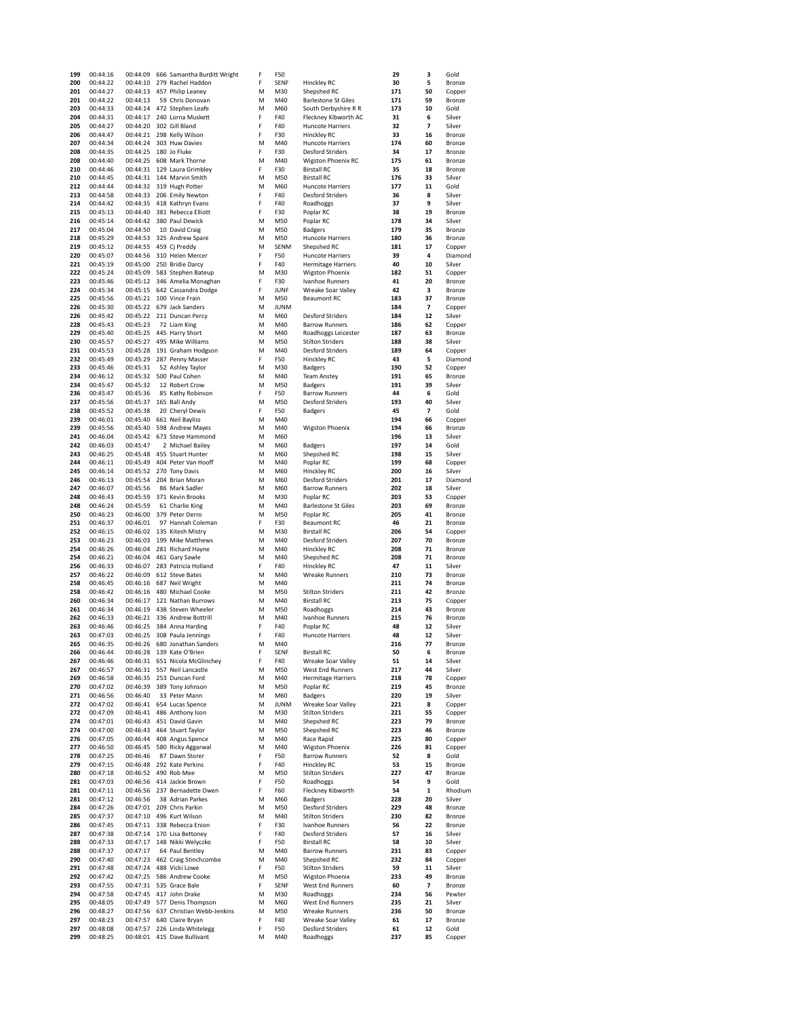| 199        | 00:44:16             | 00:44:09             | 666 Samantha Burditt Wright            | F      | F50                |                                                    | 29         | з                              | Gold             |
|------------|----------------------|----------------------|----------------------------------------|--------|--------------------|----------------------------------------------------|------------|--------------------------------|------------------|
| 200        | 00:44:22             | 00:44:10             | 279 Rachel Haddon                      | F      | SENF               | Hinckley RC                                        | 30         | 5                              | Bronze           |
| 201        | 00:44:27             | 00:44:13             | 457 Philip Leaney                      | M      | M30                | Shepshed RC                                        | 171        | 50                             | Copper           |
| 201<br>203 | 00:44:22<br>00:44:33 | 00:44:13             | 59 Chris Donovan                       | M<br>M | M40                | <b>Barlestone St Giles</b><br>South Derbyshire R R | 171        | 59<br>10                       | Bronze           |
| 204        | 00:44:31             | 00:44:14<br>00:44:17 | 472 Stephen Leafe<br>240 Lorna Muskett | F      | M60<br>F40         | Fleckney Kibworth AC                               | 173<br>31  | 6                              | Gold<br>Silver   |
| 205        | 00:44:27             | 00:44:20             | 302 Gill Bland                         | F      | F40                | <b>Huncote Harriers</b>                            | 32         | 7                              | Silver           |
| 206        | 00:44:47             | 00:44:21             | 298 Kelly Wilson                       | F      | F30                | Hinckley RC                                        | 33         | 16                             | Bronze           |
| 207        | 00:44:34             | 00:44:24             | 303 Huw Davies                         | M      | M40                | Huncote Harriers                                   | 174        | 60                             | Bronze           |
| 208        | 00:44:35             | 00:44:25             | 180 Jo Fluke                           | F      | F30                | <b>Desford Striders</b>                            | 34         | 17                             | Bronze           |
| 208        | 00:44:40             | 00:44:25             | 608 Mark Thorne                        | M      | M40                | <b>Wigston Phoenix RC</b>                          | 175        | 61                             | Bronze           |
| 210        | 00:44:46             | 00:44:31             | 129 Laura Grimbley                     | F      | F30                | <b>Birstall RC</b>                                 | 35         | 18                             | Bronze           |
| 210        | 00:44:45             | 00:44:31             | 144 Marvin Smith                       | M      | M50                | <b>Birstall RC</b>                                 | 176        | 33                             | Silver           |
| 212        | 00:44:44             | 00:44:32             | 319 Hugh Potter                        | M      | M60                | <b>Huncote Harriers</b>                            | 177        | 11                             | Gold             |
| 213        | 00:44:58             | 00:44:33             | 206 Emily Newton                       | F      | F40                | <b>Desford Striders</b>                            | 36         | 8                              | Silver           |
| 214        | 00:44:42             | 00:44:35             | 418 Kathryn Evans                      | F      | F40                | Roadhoggs                                          | 37         | 9                              | Silver           |
| 215        | 00:45:13             | 00:44:40             | 381 Rebecca Elliott                    | F      | F30                | Poplar RC                                          | 38         | 19                             | Bronze           |
| 216        | 00:45:14             | 00:44:42             | 380 Paul Dewick                        | M      | M50                | Poplar RC                                          | 178        | 34                             | Silver           |
| 217        | 00:45:04             | 00:44:50             | 10 David Craig                         | M      | M50                | <b>Badgers</b>                                     | 179        | 35                             | Bronze           |
| 218        | 00:45:29             | 00:44:53             | 325 Andrew Spare                       | M      | M50                | <b>Huncote Harriers</b>                            | 180        | 36                             | Bronze           |
| 219        | 00:45:12             | 00:44:55             | 459 Cj Preddy                          | M      | SENM               | Shepshed RC                                        | 181        | 17                             | Copper           |
| 220        | 00:45:07             | 00:44:56             | 310 Helen Mercer                       | F      | F50                | <b>Huncote Harriers</b>                            | 39         | 4                              | Diamond          |
| 221        | 00:45:19             | 00:45:00             | 250 Bridie Darcy                       | F      | F40                | <b>Hermitage Harriers</b>                          | 40         | 10                             | Silver           |
| 222        | 00:45:24             | 00:45:09             | 583 Stephen Bateup                     | M      | M30                | Wigston Phoenix                                    | 182        | 51                             | Copper           |
| 223        | 00:45:46             | 00:45:12             | 346 Amelia Monaghan                    | F      | F30                | Ivanhoe Runners                                    | 41         | 20                             | Bronze           |
| 224        | 00:45:34             | 00:45:15             | 642 Cassandra Dodge                    | F      | JUNF               | Wreake Soar Valley                                 | 42         | 3                              | Bronze           |
| 225<br>226 | 00:45:56             | 00:45:21             | 100 Vince Frain                        | M<br>M | M50<br><b>JUNM</b> | <b>Beaumont RC</b>                                 | 183<br>184 | 37<br>$\overline{\phantom{a}}$ | Bronze           |
| 226        | 00:45:30<br>00:45:42 | 00:45:22<br>00:45:22 | 679 Jack Sanders<br>211 Duncan Percy   | M      | M60                | <b>Desford Striders</b>                            | 184        | 12                             | Copper<br>Silver |
| 228        | 00:45:43             | 00:45:23             | 72 Liam King                           | M      | M40                | <b>Barrow Runners</b>                              | 186        | 62                             | Copper           |
| 229        | 00:45:40             | 00:45:25             | 445 Harry Short                        | M      | M40                | Roadhoggs Leicester                                | 187        | 63                             | Bronze           |
| 230        | 00:45:57             | 00:45:27             | 495 Mike Williams                      | M      | M50                | <b>Stilton Striders</b>                            | 188        | 38                             | Silver           |
| 231        | 00:45:53             | 00:45:28             | 191 Graham Hodgson                     | M      | M40                | <b>Desford Striders</b>                            | 189        | 64                             | Copper           |
| 232        | 00:45:49             | 00:45:29             | 287 Penny Masser                       | F      | F50                | Hinckley RC                                        | 43         | 5                              | Diamond          |
| 233        | 00:45:46             | 00:45:31             | 52 Ashley Taylor                       | M      | M30                | Badgers                                            | 190        | 52                             | Copper           |
| 234        | 00:46:12             | 00:45:32             | 500 Paul Cohen                         | M      | M40                | <b>Team Anstey</b>                                 | 191        | 65                             | Bronze           |
| 234        | 00:45:47             | 00:45:32             | 12 Robert Crow                         | M      | M50                | <b>Badgers</b>                                     | 191        | 39                             | Silver           |
| 236        | 00:45:47             | 00:45:36             | 85 Kathy Robinson                      | F      | F50                | <b>Barrow Runners</b>                              | 44         | 6                              | Gold             |
| 237        | 00:45:56             | 00:45:37             | 165 Ball Andy                          | M      | M50                | <b>Desford Striders</b>                            | 193        | 40                             | Silver           |
| 238        | 00:45:52             | 00:45:38             | 20 Cheryl Dewis                        | F      | F50                | <b>Badgers</b>                                     | 45         | 7                              | Gold             |
| 239        | 00:46:01             | 00:45:40             | 661 Neil Bayliss                       | М      | M40                |                                                    | 194        | 66                             | Copper           |
| 239        | 00:45:56             | 00:45:40             | 598 Andrew Mayes                       | M      | M40                | <b>Wigston Phoenix</b>                             | 194        | 66                             | Bronze           |
| 241        | 00:46:04             | 00:45:42             | 673 Steve Hammond                      | M      | M60                |                                                    | 196        | 13                             | Silver           |
| 242        | 00:46:03             | 00:45:47             | 2 Michael Bailey                       | M      | M60                | <b>Badgers</b>                                     | 197        | 14                             | Gold             |
| 243        | 00:46:25             | 00:45:48             | 455 Stuart Hunter                      | М      | M60                | Shepshed RC                                        | 198        | 15                             | Silver           |
| 244        | 00:46:11             | 00:45:49             | 404 Peter Van Hooff                    | M      | M40                | Poplar RC                                          | 199        | 68                             | Copper           |
| 245        | 00:46:14             | 00:45:52             | 270 Tony Davis                         | M      | M60                | Hinckley RC                                        | 200        | 16                             | Silver           |
| 246        | 00:46:13             | 00:45:54             | 204 Brian Moran                        | M      | M60                | <b>Desford Striders</b>                            | 201        | 17                             | Diamond          |
| 247        | 00:46:07             | 00:45:56             | 86 Mark Sadler                         | M      | M60                | <b>Barrow Runners</b>                              | 202        | 18                             | Silver           |
| 248        | 00:46:43             | 00:45:59             | 371 Kevin Brooks                       | M      | M30                | Poplar RC                                          | 203        | 53                             | Copper           |
| 248<br>250 | 00:46:24             | 00:45:59             | 61 Charlie King                        | M<br>M | M40<br>M50         | <b>Barlestone St Giles</b>                         | 203        | 69<br>41                       | Bronze<br>Bronze |
| 251        | 00:46:23<br>00:46:37 | 00:46:00<br>00:46:01 | 379 Peter Derro<br>97 Hannah Coleman   | F      | F30                | Poplar RC<br><b>Beaumont RC</b>                    | 205<br>46  | 21                             | Bronze           |
| 252        | 00:46:15             | 00:46:02             | 135 Kitesh Mistry                      | M      | M30                | <b>Birstall RC</b>                                 | 206        | 54                             | Copper           |
| 253        | 00:46:23             | 00:46:03             | 199 Mike Matthews                      | M      | M40                | <b>Desford Striders</b>                            | 207        | 70                             | Bronze           |
| 254        | 00:46:26             | 00:46:04             | 281 Richard Hayne                      | M      | M40                | Hinckley RC                                        | 208        | 71                             | Bronze           |
| 254        | 00:46:21             | 00:46:04             | 461 Gary Sawle                         | M      | M40                | Shepshed RC                                        | 208        | 71                             | Bronze           |
| 256        | 00:46:33             | 00:46:07             | 283 Patricia Holland                   | F      | F40                | Hinckley RC                                        | 47         | 11                             | Silver           |
| 257        | 00:46:22             | 00:46:09             | 612 Steve Bates                        | M      | M40                | <b>Wreake Runners</b>                              | 210        | 73                             | Bronze           |
| 258        | 00:46:45             | 00:46:16             | 687 Neil Wright                        | M      | M40                |                                                    | 211        | 74                             | Bronze           |
| 258        | 00:46:42             | 00:46:16             | 480 Michael Cooke                      | M      | M50                | <b>Stilton Striders</b>                            | 211        | 42                             | <b>Bronze</b>    |
| 260        | 00:46:34             | 00:46:17             | 121 Nathan Burrows                     | М      | M40                | <b>Birstall RC</b>                                 | 213        | 75                             | Copper           |
| 261        | 00:46:34             | 00:46:19             | 438 Steven Wheeler                     | M      | M50                | Roadhoggs                                          | 214        | 43                             | Bronze           |
| 262        | 00:46:33             | 00:46:21             | 336 Andrew Bottrill                    | M      | M40                | Ivanhoe Runners                                    | 215        | 76                             | Bronze           |
| 263        | 00:46:46             | 00:46:25             | 384 Anna Harding                       | F      | F40                | Poplar RC                                          | 48         | 12                             | Silver           |
| 263        | 00:47:03             | 00:46:25             | 308 Paula Jennings                     | F      | F40                | <b>Huncote Harriers</b>                            | 48         | 12                             | Silver           |
| 265        | 00:46:35             | 00:46:26             | 680 Jonathan Sanders                   | M      | M40                |                                                    | 216        | 77                             | Bronze           |
| 266        | 00:46:44             | 00:46:28             | 139 Kate O'Brien                       | F      | SENF               | <b>Birstall RC</b>                                 | 50         | 6                              | Bronze           |
| 267        | 00:46:46             | 00:46:31             | 651 Nicola McGlinchey                  | F      | F40                | Wreake Soar Valley                                 | 51         | 14                             | Silver           |
| 267        | 00:46:57             | 00:46:31             | 557 Neil Lancastle                     | M      | M50                | West End Runners                                   | 217        | 44                             | Silver           |
| 269<br>270 | 00:46:58<br>00:47:02 | 00:46:35<br>00:46:39 | 253 Duncan Ford<br>389 Tony Johnson    | M<br>М | M40<br>M50         | <b>Hermitage Harriers</b><br>Poplar RC             | 218<br>219 | 78<br>45                       | Copper<br>Bronze |
| 271        | 00:46:56             | 00:46:40             | 33 Peter Mann                          | M      | M60                | <b>Badgers</b>                                     | 220        | 19                             | Silver           |
| 272        | 00:47:02             | 00:46:41             | 654 Lucas Spence                       | М      | JUNM               | Wreake Soar Valley                                 | 221        | 8                              | Copper           |
| 272        | 00:47:09             | 00:46:41             | 486 Anthony Ison                       | M      | M30                | <b>Stilton Striders</b>                            | 221        | 55                             | Copper           |
| 274        | 00:47:01             | 00:46:43             | 451 David Gavin                        | M      | M40                | Shepshed RC                                        | 223        | 79                             | Bronze           |
| 274        | 00:47:00             | 00:46:43             | 464 Stuart Taylor                      | M      | M50                | Shepshed RC                                        | 223        | 46                             | Bronze           |
| 276        | 00:47:05             | 00:46:44             | 408 Angus Spence                       | M      | M40                | Race Rapid                                         | 225        | 80                             | Copper           |
| 277        | 00:46:50             | 00:46:45             | 580 Ricky Aggarwal                     | M      | M40                | <b>Wigston Phoenix</b>                             | 226        | 81                             | Copper           |
| 278        | 00:47:25             | 00:46:46             | 87 Dawn Storer                         | F      | F50                | <b>Barrow Runners</b>                              | 52         | 8                              | Gold             |
| 279        | 00:47:15             | 00:46:48             | 292 Kate Perkins                       | F      | F40                | Hinckley RC                                        | 53         | 15                             | Bronze           |
| 280        | 00:47:18             | 00:46:52             | 490 Rob Mee                            | M      | M50                | <b>Stilton Striders</b>                            | 227        | 47                             | Bronze           |
| 281        | 00:47:03             | 00:46:56             | 414 Jackie Brown                       | F      | F50                | Roadhoggs                                          | 54         | 9                              | Gold             |
| 281        | 00:47:11             | 00:46:56             | 237 Bernadette Owen                    | F      | F60                | Fleckney Kibworth                                  | 54         | $\mathbf 1$                    | Rhodium          |
| 281        | 00:47:12             | 00:46:56             | 38 Adrian Parkes                       | M      | M60                | <b>Badgers</b>                                     | 228        | 20                             | Silver           |
| 284        | 00:47:26             | 00:47:01             | 209 Chris Parkin                       | M      | M50                | <b>Desford Striders</b>                            | 229        | 48                             | Bronze           |
| 285        | 00:47:37             | 00:47:10             | 496 Kurt Wilson                        | M      | M40                | <b>Stilton Striders</b>                            | 230        | 82                             | Bronze           |
| 286        | 00:47:45             | 00:47:11             | 338 Rebecca Enion                      | F<br>F | F30                | Ivanhoe Runners                                    | 56         | 22                             | Bronze           |
| 287<br>288 | 00:47:38             | 00:47:14<br>00:47:17 | 170 Lisa Bettoney                      | F      | F40<br>F50         | <b>Desford Striders</b><br><b>Birstall RC</b>      | 57<br>58   | 16<br>10                       | Silver<br>Silver |
| 288        | 00:47:33<br>00:47:37 | 00:47:17             | 148 Nikki Welyczko<br>64 Paul Bentley  | М      | M40                | <b>Barrow Runners</b>                              | 231        | 83                             | Copper           |
| 290        | 00:47:40             | 00:47:23             | 462 Craig Stinchcombe                  | M      | M40                | Shepshed RC                                        | 232        | 84                             | Copper           |
| 291        | 00:47:48             | 00:47:24             | 488 Vicki Lowe                         | F      | F50                | <b>Stilton Striders</b>                            | 59         | 11                             | Silver           |
| 292        | 00:47:42             | 00:47:25             | 586 Andrew Cooke                       | M      | M50                | <b>Wigston Phoenix</b>                             | 233        | 49                             | Bronze           |
| 293        | 00:47:55             | 00:47:31             | 535 Grace Bale                         | F      | SENF               | West End Runners                                   | 60         | 7                              | Bronze           |
| 294        | 00:47:58             | 00:47:45             | 417 John Drake                         | M      | M30                | Roadhoggs                                          | 234        | 56                             | Pewter           |
| 295        | 00:48:05             | 00:47:49             | 577 Denis Thompson                     | M      | M60                | West End Runners                                   | 235        | 21                             | Silver           |
| 296        | 00:48:27             | 00:47:56             | 637 Christian Webb-Jenkins             | M      | M50                | <b>Wreake Runners</b>                              | 236        | 50                             | Bronze           |
| 297        | 00:48:23             | 00:47:57             | 640 Claire Bryan                       | F      | F40                | Wreake Soar Valley                                 | 61         | 17                             | Bronze           |
| 297        | 00:48:08             | 00:47:57             | 226 Linda Whitelegg                    | F      | F50                | <b>Desford Striders</b>                            | 61         | 12                             | Gold             |
|            | 00:48:25             |                      | 00:48:01 415 Dave Bullivant            | M      | M40                | Roadhoggs                                          | 237        | 85                             | Copper           |
| 299        |                      |                      |                                        |        |                    |                                                    |            |                                |                  |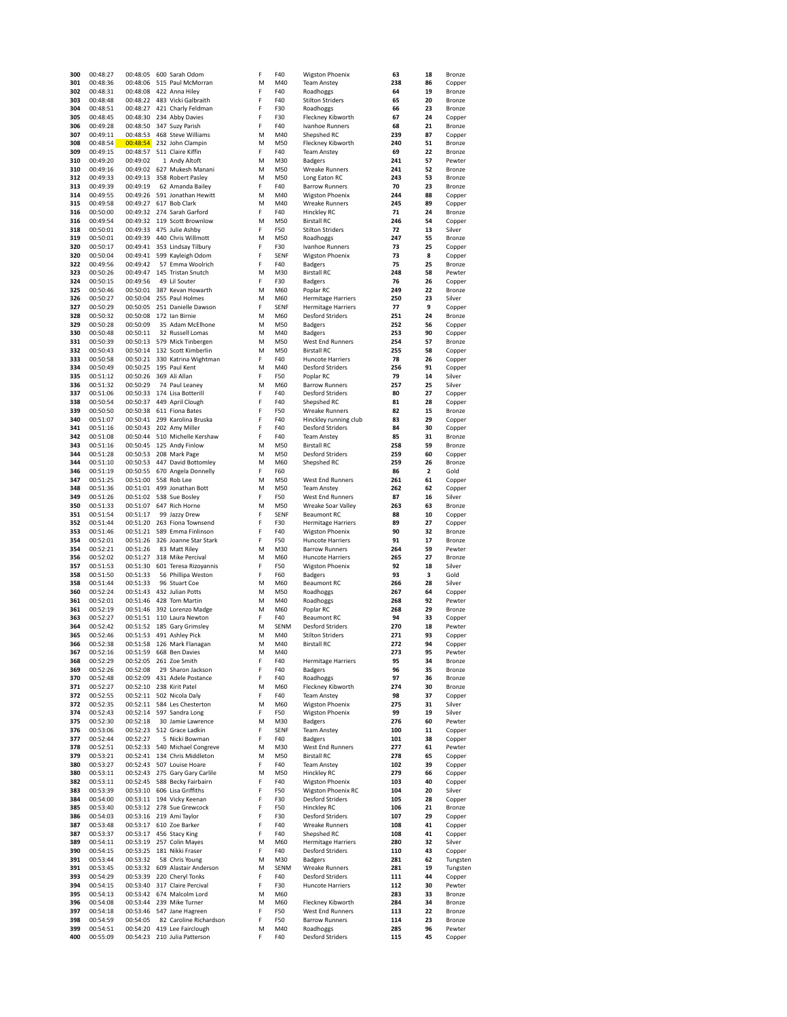| 300        | 00:48:27             | 00:48:05               | 600 Sarah Odom                                   | F      | F40        | <b>Wigston Phoenix</b>                           | 63         | 18       | Bronze           |
|------------|----------------------|------------------------|--------------------------------------------------|--------|------------|--------------------------------------------------|------------|----------|------------------|
| 301        | 00:48:36             | 00:48:06               | 515 Paul McMorran                                | M      | M40        | <b>Team Anstey</b>                               | 238        | 86       | Copper           |
| 302<br>303 | 00:48:31             | 00:48:08               | 422 Anna Hiley                                   | F      | F40        | Roadhoggs                                        | 64         | 19       | Bronze           |
| 304        | 00:48:48<br>00:48:51 | 00:48:22<br>00:48:27   | 483 Vicki Galbraith<br>421 Charly Feldman        | F<br>F | F40<br>F30 | <b>Stilton Striders</b><br>Roadhoggs             | 65<br>66   | 20<br>23 | Bronze<br>Bronze |
| 305        | 00:48:45             | 00:48:30               | 234 Abby Davies                                  | F      | F30        | Fleckney Kibworth                                | 67         | 24       | Copper           |
| 306        | 00:49:28             | 00:48:50               | 347 Suzy Parish                                  | F      | F40        | Ivanhoe Runners                                  | 68         | 21       | Bronze           |
| 307        | 00:49:11             | 00:48:53               | 468 Steve Williams                               | M      | M40        | Shepshed RC                                      | 239        | 87       | Copper           |
| 308        | 00:48:54             | 00:48:54               | 232 John Clampin                                 | M      | M50        | Fleckney Kibworth                                | 240        | 51       | Bronze           |
| 309        | 00:49:15             | 00:48:57               | 511 Claire Kiffin                                | F      | F40        | <b>Team Anstey</b><br><b>Badgers</b>             | 69         | 22<br>57 | Bronze           |
| 310<br>310 | 00:49:20<br>00:49:16 | 00:49:02               | 1 Andy Altoft<br>00:49:02 627 Mukesh Manani      | М<br>M | M30<br>M50 | Wreake Runners                                   | 241<br>241 | 52       | Pewter<br>Bronze |
| 312        | 00:49:33             | 00:49:13               | 358 Robert Pasley                                | М      | M50        | Long Eaton RC                                    | 243        | 53       | Bronze           |
| 313        | 00:49:39             | 00:49:19               | 62 Amanda Bailey                                 | F      | F40        | <b>Barrow Runners</b>                            | 70         | 23       | Bronze           |
| 314        | 00:49:55             | 00:49:26               | 591 Jonathan Hewitt                              | M      | M40        | <b>Wigston Phoenix</b>                           | 244        | 88       | Copper           |
| 315        | 00:49:58             | 00:49:27               | 617 Bob Clark                                    | M      | M40        | <b>Wreake Runners</b>                            | 245        | 89       | Copper           |
| 316<br>316 | 00:50:00<br>00:49:54 | 00:49:32               | 00:49:32 274 Sarah Garford<br>119 Scott Brownlow | F<br>M | F40<br>M50 | <b>Hinckley RC</b><br><b>Birstall RC</b>         | 71<br>246  | 24<br>54 | Bronze<br>Copper |
| 318        | 00:50:01             | 00:49:33               | 475 Julie Ashby                                  | F      | F50        | <b>Stilton Striders</b>                          | 72         | 13       | Silver           |
| 319        | 00:50:01             | 00:49:39               | 440 Chris Willmott                               | M      | M50        | Roadhoggs                                        | 247        | 55       | Bronze           |
| 320        | 00:50:17             | 00:49:41               | 353 Lindsay Tilbury                              | F      | F30        | Ivanhoe Runners                                  | 73         | 25       | Copper           |
| 320        | 00:50:04             | 00:49:41               | 599 Kayleigh Odom                                | F      | SENF       | <b>Wigston Phoenix</b>                           | 73         | 8        | Copper           |
| 322<br>323 | 00:49:56             | 00:49:42               | 57 Emma Woolrich<br>145 Tristan Snutch           | F<br>M | F40<br>M30 | <b>Badgers</b>                                   | 75<br>248  | 25<br>58 | Bronze           |
| 324        | 00:50:26<br>00:50:15 | 00:49:47<br>00:49:56   | 49 Lil Souter                                    | F      | F30        | <b>Birstall RC</b><br><b>Badgers</b>             | 76         | 26       | Pewter<br>Copper |
| 325        | 00:50:46             | 00:50:01               | 387 Kevan Howarth                                | M      | M60        | Poplar RC                                        | 249        | 22       | Bronze           |
| 326        | 00:50:27             | 00:50:04               | 255 Paul Holmes                                  | M      | M60        | <b>Hermitage Harriers</b>                        | 250        | 23       | Silver           |
| 327        | 00:50:29             | 00:50:05               | 251 Danielle Dawson                              | F      | SENF       | <b>Hermitage Harriers</b>                        | 77         | 9        | Copper           |
| 328        | 00:50:32             | 00:50:08               | 172 Ian Birnie                                   | M      | M60        | <b>Desford Striders</b>                          | 251        | 24       | Bronze           |
| 329<br>330 | 00:50:28<br>00:50:48 | 00:50:09               | 35 Adam McElhone<br>32 Russell Lomas             | M<br>M | M50<br>M40 | <b>Badgers</b>                                   | 252<br>253 | 56<br>90 | Copper           |
| 331        | 00:50:39             | 00:50:11<br>00:50:13   | 579 Mick Tinbergen                               | M      | M50        | <b>Badgers</b><br>West End Runners               | 254        | 57       | Copper<br>Bronze |
| 332        | 00:50:43             | 00:50:14               | 132 Scott Kimberlin                              | M      | M50        | <b>Birstall RC</b>                               | 255        | 58       | Copper           |
| 333        | 00:50:58             | 00:50:21               | 330 Katrina Wightman                             | F      | F40        | <b>Huncote Harriers</b>                          | 78         | 26       | Copper           |
| 334        | 00:50:49             | 00:50:25               | 195 Paul Kent                                    | M      | M40        | <b>Desford Striders</b>                          | 256        | 91       | Copper           |
| 335        | 00:51:12             | 00:50:26 369 Ali Allan |                                                  | F      | F50        | Poplar RC                                        | 79         | 14       | Silver           |
| 336<br>337 | 00:51:32<br>00:51:06 | 00:50:29<br>00:50:33   | 74 Paul Leaney<br>174 Lisa Botterill             | M<br>F | M60<br>F40 | <b>Barrow Runners</b><br><b>Desford Striders</b> | 257<br>80  | 25<br>27 | Silver<br>Copper |
| 338        | 00:50:54             | 00:50:37               | 449 April Clough                                 | F      | F40        | Shepshed RC                                      | 81         | 28       | Copper           |
| 339        | 00:50:50             | 00:50:38               | 611 Fiona Bates                                  | F      | F50        | Wreake Runners                                   | 82         | 15       | Bronze           |
| 340        | 00:51:07             | 00:50:41               | 299 Karolina Bruska                              | F      | F40        | Hinckley running club                            | 83         | 29       | Copper           |
| 341        | 00:51:16             | 00:50:43               | 202 Amy Miller                                   | F      | F40        | <b>Desford Striders</b>                          | 84         | 30       | Copper           |
| 342        | 00:51:08             | 00:50:44               | 510 Michelle Kershaw                             | F      | F40        | <b>Team Anstey</b>                               | 85         | 31       | Bronze           |
| 343<br>344 | 00:51:16<br>00:51:28 | 00:50:45<br>00:50:53   | 125 Andy Finlow<br>208 Mark Page                 | М<br>M | M50<br>M50 | <b>Birstall RC</b><br><b>Desford Striders</b>    | 258<br>259 | 59<br>60 | Bronze<br>Copper |
| 344        | 00:51:10             | 00:50:53               | 447 David Bottomley                              | М      | M60        | Shepshed RC                                      | 259        | 26       | Bronze           |
| 346        | 00:51:19             | 00:50:55               | 670 Angela Donnelly                              | F      | F60        |                                                  | 86         | 2        | Gold             |
| 347        | 00:51:25             | 00:51:00               | 558 Rob Lee                                      | M      | M50        | West End Runners                                 | 261        | 61       | Copper           |
| 348        | 00:51:36             | 00:51:01               | 499 Jonathan Bott                                | M      | M50        | <b>Team Anstey</b>                               | 262        | 62       | Copper           |
| 349<br>350 | 00:51:26<br>00:51:33 | 00:51:07               | 00:51:02 538 Sue Bosley<br>647 Rich Horne        | F<br>M | F50<br>M50 | West End Runners<br>Wreake Soar Valley           | 87<br>263  | 16<br>63 | Silver<br>Bronze |
| 351        | 00:51:54             | 00:51:17               | 99 Jazzy Drew                                    | F      | SENF       | <b>Beaumont RC</b>                               | 88         | 10       | Copper           |
| 352        | 00:51:44             | 00:51:20               | 263 Fiona Townsend                               | F      | F30        | <b>Hermitage Harriers</b>                        | 89         | 27       | Copper           |
| 353        | 00:51:46             |                        | 00:51:21 589 Emma Finlinson                      | F      | F40        | Wigston Phoenix                                  | 90         | 32       | Bronze           |
| 354        | 00:52:01             | 00:51:26               | 326 Joanne Star Stark                            | F      | F50        | <b>Huncote Harriers</b>                          | 91         | 17       | Bronze           |
| 354<br>356 | 00:52:21<br>00:52:02 | 00:51:26<br>00:51:27   | 83 Matt Riley<br>318 Mike Percival               | M<br>M | M30<br>M60 | <b>Barrow Runners</b><br><b>Huncote Harriers</b> | 264<br>265 | 59<br>27 | Pewter<br>Bronze |
| 357        | 00:51:53             | 00:51:30               | 601 Teresa Rizoyannis                            | F      | F50        | Wigston Phoenix                                  | 92         | 18       | Silver           |
| 358        | 00:51:50             | 00:51:33               | 56 Phillipa Weston                               | F      | F60        | <b>Badgers</b>                                   | 93         | 3        | Gold             |
| 358        | 00:51:44             | 00:51:33               | 96 Stuart Coe                                    | M      | M60        | <b>Beaumont RC</b>                               | 266        | 28       | Silver           |
| 360        | 00:52:24             | 00:51:43               | 432 Julian Potts                                 | М      | M50        | Roadhoggs                                        | 267        | 64       | Copper           |
| 361        | 00:52:01             | 00:51:46               | 428 Tom Martin<br>00:51:46 392 Lorenzo Madge     | M      | M40        | Roadhoggs                                        | 268<br>268 | 92<br>29 | Pewter           |
| 361<br>363 | 00:52:19<br>00:52:27 | 00:51:51               | 110 Laura Newton                                 | М<br>F | M60<br>F40 | Poplar RC<br><b>Beaumont RC</b>                  | 94         | 33       | Bronze<br>Copper |
| 364        | 00:52:42             |                        | 00:51:52 185 Gary Grimsley                       | M      | SENM       | <b>Desford Striders</b>                          | 270        | 18       | Pewter           |
| 365        | 00:52:46             |                        | 00:51:53 491 Ashley Pick                         | M      | M40        | <b>Stilton Striders</b>                          | 271        | 93       | Copper           |
| 366        | 00:52:38             |                        | 00:51:58 126 Mark Flanagan                       | М      | M40        | <b>Birstall RC</b>                               | 272        | 94       | Copper           |
| 367        | 00:52:16             | 00:51:59               | 668 Ben Davies                                   | M      | M40        |                                                  | 273        | 95       | Pewter           |
| 368<br>369 | 00:52:29<br>00:52:26 | 00:52:05<br>00:52:08   | 261 Zoe Smith<br>29 Sharon Jackson               | F<br>F | F40<br>F40 | <b>Hermitage Harriers</b><br><b>Badgers</b>      | 95<br>96   | 34<br>35 | Bronze<br>Bronze |
| 370        | 00:52:48             | 00:52:09               | 431 Adele Postance                               | F      | F40        | Roadhoggs                                        | 97         | 36       | Bronze           |
| 371        | 00:52:27             | 00:52:10               | 238 Kirit Patel                                  | M      | M60        | Fleckney Kibworth                                | 274        | 30       | Bronze           |
| 372        | 00:52:55             | 00:52:11               | 502 Nicola Daly                                  | F      | F40        | <b>Team Anstey</b>                               | 98         | 37       | Copper           |
| 372        | 00:52:35             | 00:52:11               | 584 Les Chesterton                               | M      | M60        | <b>Wigston Phoenix</b>                           | 275        | 31       | Silver           |
| 374<br>375 | 00:52:43<br>00:52:30 | 00:52:14<br>00:52:18   | 597 Sandra Long<br>30 Jamie Lawrence             | F<br>M | F50<br>M30 | <b>Wigston Phoenix</b><br><b>Badgers</b>         | 99<br>276  | 19<br>60 | Silver<br>Pewter |
| 376        | 00:53:06             | 00:52:23               | 512 Grace Ladkin                                 | F      | SENF       | <b>Team Anstey</b>                               | 100        | 11       | Copper           |
| 377        | 00:52:44             | 00:52:27               | 5 Nicki Bowman                                   | F      | F40        | <b>Badgers</b>                                   | 101        | 38       | Copper           |
| 378        | 00:52:51             |                        | 00:52:33 540 Michael Congreve                    | M      | M30        | West End Runners                                 | 277        | 61       | Pewter           |
| 379        | 00:53:21             | 00:52:41               | 134 Chris Middleton                              | M      | M50        | <b>Birstall RC</b>                               | 278        | 65       | Copper           |
| 380        | 00:53:27             | 00:52:43               | 507 Louise Hoare                                 | F      | F40        | <b>Team Anstey</b>                               | 102        | 39       | Copper           |
| 380<br>382 | 00:53:11<br>00:53:11 | 00:52:43<br>00:52:45   | 275 Gary Gary Carlile<br>588 Becky Fairbairn     | M<br>F | M50<br>F40 | Hinckley RC<br>Wigston Phoenix                   | 279<br>103 | 66<br>40 | Copper<br>Copper |
| 383        | 00:53:39             | 00:53:10               | 606 Lisa Griffiths                               | F      | F50        | <b>Wigston Phoenix RC</b>                        | 104        | 20       | Silver           |
| 384        | 00:54:00             | 00:53:11               | 194 Vicky Keenan                                 | F      | F30        | <b>Desford Striders</b>                          | 105        | 28       | Copper           |
| 385        | 00:53:40             | 00:53:12               | 278 Sue Grewcock                                 | F      | F50        | Hinckley RC                                      | 106        | 21       | Bronze           |
| 386        | 00:54:03             | 00:53:16               | 219 Ami Taylor                                   | F      | F30        | <b>Desford Striders</b>                          | 107        | 29       | Copper           |
| 387<br>387 | 00:53:48<br>00:53:37 | 00:53:17<br>00:53:17   | 610 Zoe Barker<br>456 Stacy King                 | F<br>F | F40<br>F40 | Wreake Runners<br>Shepshed RC                    | 108<br>108 | 41<br>41 | Copper<br>Copper |
| 389        | 00:54:11             | 00:53:19               | 257 Colin Mayes                                  | М      | M60        | <b>Hermitage Harriers</b>                        | 280        | 32       | Silver           |
| 390        | 00:54:15             | 00:53:25               | 181 Nikki Fraser                                 | F      | F40        | <b>Desford Striders</b>                          | 110        | 43       | Copper           |
| 391        | 00:53:44             | 00:53:32               | 58 Chris Young                                   | М      | M30        | <b>Badgers</b>                                   | 281        | 62       | Tungsten         |
| 391        | 00:53:45             | 00:53:32               | 609 Alastair Anderson                            | M      | SENM       | <b>Wreake Runners</b>                            | 281        | 19       | Tungsten         |
| 393        | 00:54:29             | 00:53:39               | 220 Cheryl Tonks                                 | F      | F40        | <b>Desford Striders</b>                          | 111        | 44       | Copper           |
| 394<br>395 | 00:54:15<br>00:54:13 | 00:53:40<br>00:53:42   | 317 Claire Percival<br>674 Malcolm Lord          | F<br>M | F30<br>M60 | <b>Huncote Harriers</b>                          | 112<br>283 | 30<br>33 | Pewter<br>Bronze |
| 396        | 00:54:08             | 00:53:44               | 239 Mike Turner                                  | M      | M60        | Fleckney Kibworth                                | 284        | 34       | Bronze           |
| 397        | 00:54:18             | 00:53:46               | 547 Jane Hagreen                                 | F      | F50        | <b>West End Runners</b>                          | 113        | 22       | Bronze           |
| 398        | 00:54:59             | 00:54:05               | 82 Caroline Richardson                           | F      | F50        | <b>Barrow Runners</b>                            | 114        | 23       | Bronze           |
| 399        | 00:54:51             | 00:54:20               | 419 Lee Fairclough                               | M      | M40        | Roadhoggs                                        | 285        | 96       | Pewter           |
| 400        | 00:55:09             | 00:54:23               | 210 Julia Patterson                              | F      | F40        | <b>Desford Striders</b>                          | 115        | 45       | Copper           |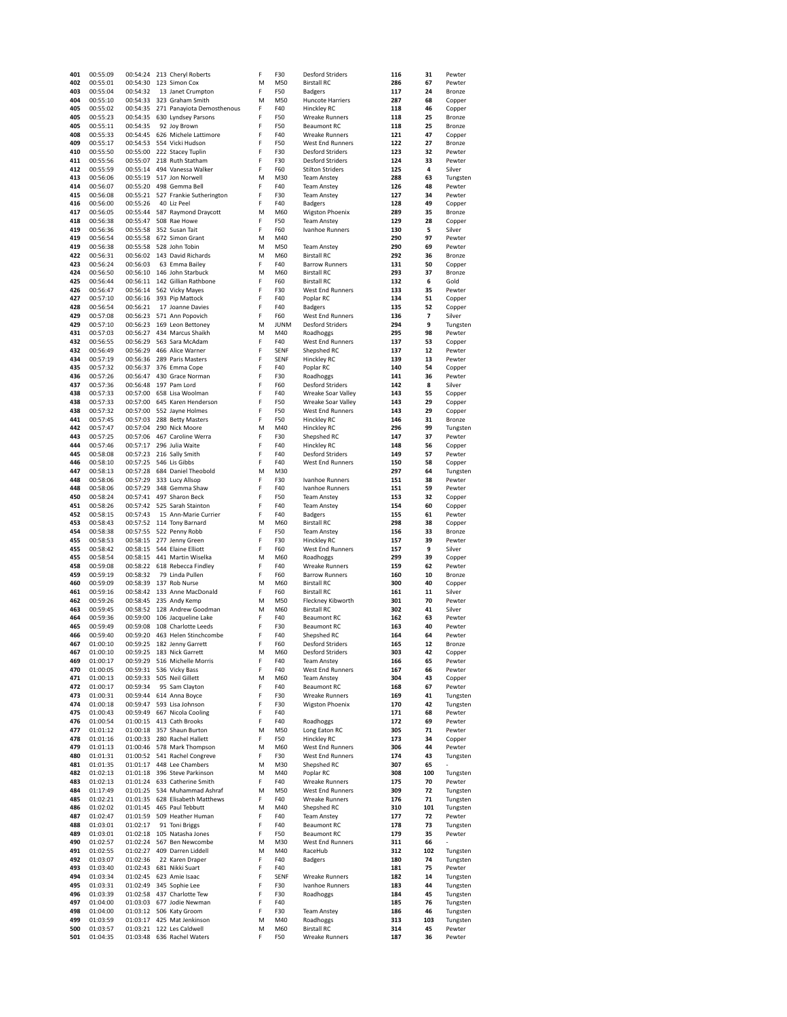| 401        | 00:55:09             |                      | 00:54:24 213 Cheryl Roberts                | F      | F30         | <b>Desford Striders</b>                       | 116        | 31        | Pewter               |
|------------|----------------------|----------------------|--------------------------------------------|--------|-------------|-----------------------------------------------|------------|-----------|----------------------|
| 402        | 00:55:01             | 00:54:30             | 123 Simon Cox                              | M      | M50         | <b>Birstall RC</b>                            | 286        | 67        | Pewter               |
| 403        | 00:55:04             | 00:54:32             | 13 Janet Crumpton                          | F      | F50         | <b>Badgers</b>                                | 117        | 24        | Bronze               |
| 404        | 00:55:10             | 00:54:33             | 323 Graham Smith                           | M      | M50         | Huncote Harriers                              | 287        | 68        | Copper               |
| 405        | 00:55:02             | 00:54:35             | 271 Panayiota Demosthenous                 | F      | F40         | Hinckley RC                                   | 118        | 46        | Copper               |
| 405<br>405 | 00:55:23<br>00:55:11 | 00:54:35<br>00:54:35 | 630 Lyndsey Parsons<br>92 Joy Brown        | F<br>F | F50<br>F50  | <b>Wreake Runners</b><br><b>Beaumont RC</b>   | 118<br>118 | 25<br>25  | Bronze<br>Bronze     |
| 408        | 00:55:33             | 00:54:45             | 626 Michele Lattimore                      | F      | F40         | <b>Wreake Runners</b>                         | 121        | 47        | Copper               |
| 409        | 00:55:17             | 00:54:53             | 554 Vicki Hudson                           | F      | F50         | <b>West End Runners</b>                       | 122        | 27        | Bronze               |
| 410        | 00:55:50             | 00:55:00             | 222 Stacey Tuplin                          | F      | F30         | <b>Desford Striders</b>                       | 123        | 32        | Pewter               |
| 411        | 00:55:56             | 00:55:07             | 218 Ruth Statham                           | F      | F30         | <b>Desford Striders</b>                       | 124        | 33        | Pewter               |
| 412        | 00:55:59             | 00:55:14             | 494 Vanessa Walker                         | F      | F60         | <b>Stilton Striders</b>                       | 125        | 4         | Silver               |
| 413        | 00:56:06             | 00:55:19             | 517 Jon Norwell                            | M      | M30         | <b>Team Anstey</b>                            | 288        | 63        | Tungsten             |
| 414        | 00:56:07             |                      | 00:55:20 498 Gemma Bell                    | F      | F40         | <b>Team Anstey</b>                            | 126        | 48        | Pewter               |
| 415        | 00:56:08             | 00:55:21             | 527 Frankie Sutherington                   | F      | F30         | <b>Team Anstey</b>                            | 127        | 34        | Pewter               |
| 416        | 00:56:00             | 00:55:26             | 40 Liz Peel                                | F      | F40         | <b>Badgers</b>                                | 128        | 49        | Copper               |
| 417        | 00:56:05             | 00:55:44             | 587 Raymond Draycott                       | M      | M60         | <b>Wigston Phoenix</b>                        | 289        | 35        | Bronze               |
| 418        | 00:56:38             | 00:55:47             | 508 Rae Howe                               | F      | F50         | <b>Team Anstey</b>                            | 129        | 28        | Copper               |
| 419        | 00:56:36             | 00:55:58             | 352 Susan Tait                             | F      | F60         | Ivanhoe Runners                               | 130        | 5         | Silver               |
| 419<br>419 | 00:56:54<br>00:56:38 | 00:55:58<br>00:55:58 | 672 Simon Grant<br>528 John Tobin          | M<br>M | M40<br>M50  | <b>Team Anstey</b>                            | 290<br>290 | 97<br>69  | Pewter<br>Pewter     |
| 422        | 00:56:31             | 00:56:02             | 143 David Richards                         | M      | M60         | <b>Birstall RC</b>                            | 292        | 36        | Bronze               |
| 423        | 00:56:24             | 00:56:03             | 63 Emma Bailey                             | F      | F40         | <b>Barrow Runners</b>                         | 131        | 50        | Copper               |
| 424        | 00:56:50             |                      | 00:56:10 146 John Starbuck                 | M      | M60         | <b>Birstall RC</b>                            | 293        | 37        | Bronze               |
| 425        | 00:56:44             | 00:56:11             | 142 Gillian Rathbone                       | F      | F60         | <b>Birstall RC</b>                            | 132        | 6         | Gold                 |
| 426        | 00:56:47             | 00:56:14             | 562 Vicky Mayes                            | F      | F30         | West End Runners                              | 133        | 35        | Pewter               |
| 427        | 00:57:10             | 00:56:16             | 393 Pip Mattock                            | F      | F40         | Poplar RC                                     | 134        | 51        | Copper               |
| 428        | 00:56:54             | 00:56:21             | 17 Joanne Davies                           | F      | F40         | <b>Badgers</b>                                | 135        | 52        | Copper               |
| 429        | 00:57:08             | 00:56:23             | 571 Ann Popovich                           | F      | F60         | West End Runners                              | 136        | 7         | Silver               |
| 429        | 00:57:10             | 00:56:23             | 169 Leon Bettoney                          | M      | <b>JUNM</b> | <b>Desford Striders</b>                       | 294        | 9         | Tungsten             |
| 431        | 00:57:03             | 00:56:27             | 434 Marcus Shaikh                          | M      | M40         | Roadhoggs                                     | 295        | 98        | Pewter               |
| 432        | 00:56:55             | 00:56:29             | 563 Sara McAdam                            | F      | F40         | West End Runners                              | 137        | 53        | Copper               |
| 432        | 00:56:49             | 00:56:29             | 466 Alice Warner                           | F      | SENF        | Shepshed RC                                   | 137        | 12        | Pewter               |
| 434        | 00:57:19             | 00:56:36             | 289 Paris Masters                          | F      | SENF        | Hinckley RC                                   | 139        | 13        | Pewter               |
| 435        | 00:57:32             | 00:56:37             | 376 Emma Cope                              | F      | F40         | Poplar RC                                     | 140        | 54        | Copper               |
| 436        | 00:57:26             | 00:56:47             | 430 Grace Norman                           | F      | F30         | Roadhoggs                                     | 141        | 36        | Pewter               |
| 437        | 00:57:36             | 00:56:48             | 197 Pam Lord                               | F      | F60         | Desford Striders                              | 142        | 8         | Silver               |
| 438<br>438 | 00:57:33             | 00:57:00             | 658 Lisa Woolman                           | F<br>F | F40         | Wreake Soar Valley                            | 143        | 55<br>29  | Copper               |
| 438        | 00:57:33<br>00:57:32 | 00:57:00<br>00:57:00 | 645 Karen Henderson<br>552 Jayne Holmes    | F      | F50<br>F50  | Wreake Soar Valley<br><b>West End Runners</b> | 143<br>143 | 29        | Copper<br>Copper     |
| 441        | 00:57:45             | 00:57:03             | 288 Betty Masters                          | F      | F50         | Hinckley RC                                   | 146        | 31        | Bronze               |
| 442        | 00:57:47             | 00:57:04             | 290 Nick Moore                             | M      | M40         | Hinckley RC                                   | 296        | 99        | Tungsten             |
| 443        | 00:57:25             | 00:57:06             | 467 Caroline Werra                         | F      | F30         | Shepshed RC                                   | 147        | 37        | Pewter               |
| 444        | 00:57:46             | 00:57:17             | 296 Julia Waite                            | F      | F40         | Hinckley RC                                   | 148        | 56        | Copper               |
| 445        | 00:58:08             | 00:57:23             | 216 Sally Smith                            | F      | F40         | <b>Desford Striders</b>                       | 149        | 57        | Pewter               |
| 446        | 00:58:10             | 00:57:25             | 546 Lis Gibbs                              | F      | F40         | <b>West End Runners</b>                       | 150        | 58        | Copper               |
| 447        | 00:58:13             | 00:57:28             | 684 Daniel Theobold                        | M      | M30         |                                               | 297        | 64        | Tungsten             |
| 448        | 00:58:06             | 00:57:29             | 333 Lucy Allsop                            | F      | F30         | Ivanhoe Runners                               | 151        | 38        | Pewter               |
| 448        | 00:58:06             | 00:57:29             | 348 Gemma Shaw                             | F      | F40         | Ivanhoe Runners                               | 151        | 59        | Pewter               |
| 450        | 00:58:24             | 00:57:41             | 497 Sharon Beck                            | F      | F50         | <b>Team Anstey</b>                            | 153        | 32        | Copper               |
| 451        | 00:58:26             | 00:57:42             | 525 Sarah Stainton                         | F      | F40         | Team Anstey                                   | 154        | 60        | Copper               |
| 452        | 00:58:15             | 00:57:43             | 15 Ann-Marie Currier                       | F      | F40         | <b>Badgers</b>                                | 155        | 61        | Pewter               |
| 453        | 00:58:43             | 00:57:52             | 114 Tony Barnard                           | M      | M60         | <b>Birstall RC</b>                            | 298        | 38        | Copper               |
| 454        | 00:58:38             | 00:57:55             | 522 Penny Robb                             | F      | F50         | <b>Team Anstey</b>                            | 156        | 33        | Bronze               |
| 455<br>455 | 00:58:53             | 00:58:15<br>00:58:15 | 277 Jenny Green                            | F<br>F | F30<br>F60  | Hinckley RC                                   | 157        | 39<br>9   | Pewter               |
| 455        | 00:58:42<br>00:58:54 | 00:58:15             | 544 Elaine Elliott<br>441 Martin Wiselka   | M      | M60         | West End Runners                              | 157<br>299 | 39        | Silver               |
| 458        | 00:59:08             | 00:58:22             | 618 Rebecca Findley                        | F      | F40         | Roadhoggs<br><b>Wreake Runners</b>            | 159        | 62        | Copper<br>Pewter     |
| 459        | 00:59:19             | 00:58:32             | 79 Linda Pullen                            | F      | F60         | <b>Barrow Runners</b>                         | 160        | 10        | Bronze               |
| 460        | 00:59:09             | 00:58:39             | 137 Rob Nurse                              | M      | M60         | <b>Birstall RC</b>                            | 300        | 40        | Copper               |
| 461        | 00:59:16             |                      | 00:58:42 133 Anne MacDonald                | F      | F60         | <b>Birstall RC</b>                            | 161        | 11        | Silver               |
| 462        | 00:59:26             | 00:58:45             | 235 Andy Kemp                              | M      | M50         | Fleckney Kibworth                             | 301        | 70        | Pewter               |
| 463        | 00:59:45             | 00:58:52             | 128 Andrew Goodman                         | M      | M60         | <b>Birstall RC</b>                            | 302        | 41        | Silver               |
| 464        | 00:59:36             | 00:59:00             | 106 Jacqueline Lake                        | F      | F40         | <b>Beaumont RC</b>                            | 162        | 63        | Pewter               |
| 465        | 00:59:49             | 00:59:08             | 108 Charlotte Leeds                        | F      | F30         | <b>Beaumont RC</b>                            | 163        | 40        | Pewter               |
| 466        | 00:59:40             | 00:59:20             | 463 Helen Stinchcombe                      | F      | F40         | Shepshed RC                                   | 164        | 64        | Pewter               |
| 467        | 01:00:10             | 00:59:25             | 182 Jenny Garrett                          | F      | F60         | <b>Desford Striders</b>                       | 165        | 12        | Bronze               |
| 467        | 01:00:10             | 00:59:25             | 183 Nick Garrett                           | M      | M60         | <b>Desford Striders</b>                       | 303        | 42        | Copper               |
| 469        | 01:00:17             | 00:59:29             | 516 Michelle Morris                        | F      | F40         | <b>Team Anstey</b>                            | 166        | 65        | Pewter               |
| 470        | 01:00:05             | 00:59:31             | 536 Vicky Bass                             | F      | F40         | <b>West End Runners</b>                       | 167        | 66        | Pewter               |
| 471        | 01:00:13             | 00:59:33<br>00:59:34 | 505 Neil Gillett<br>95 Sam Clayton         | M<br>F | M60<br>F40  | <b>Team Anstey</b><br><b>Beaumont RC</b>      | 304        | 43<br>67  | Copper               |
| 472<br>473 | 01:00:17<br>01:00:31 | 00:59:44             | 614 Anna Boyce                             | F      | F30         | <b>Wreake Runners</b>                         | 168<br>169 | 41        | Pewter<br>Tungsten   |
| 474        | 01:00:18             | 00:59:47             | 593 Lisa Johnson                           | F      | F30         | <b>Wigston Phoenix</b>                        | 170        | 42        | Tungsten             |
| 475        | 01:00:43             | 00:59:49             | 667 Nicola Cooling                         | F      | F40         |                                               | 171        | 68        | Pewter               |
| 476        | 01:00:54             | 01:00:15             | 413 Cath Brooks                            | F      | F40         | Roadhoggs                                     | 172        | 69        | Pewter               |
| 477        | 01:01:12             | 01:00:18             | 357 Shaun Burton                           | M      | M50         | Long Eaton RC                                 | 305        | 71        | Pewter               |
| 478        | 01:01:16             | 01:00:33             | 280 Rachel Hallett                         | F      | F50         | Hinckley RC                                   | 173        | 34        | Copper               |
| 479        | 01:01:13             | 01:00:46             | 578 Mark Thompson                          | M      | M60         | <b>West End Runners</b>                       | 306        | 44        | Pewter               |
| 480        | 01:01:31             | 01:00:52             | 541 Rachel Congreve                        | F      | F30         | West End Runners                              | 174        | 43        | Tungsten             |
| 481        | 01:01:35             | 01:01:17             | 448 Lee Chambers                           | M      | M30         | Shepshed RC                                   | 307        | 65        |                      |
| 482        | 01:02:13             | 01:01:18             | 396 Steve Parkinson                        | М      | M40         | Poplar RC                                     | 308        | 100       | Tungsten             |
| 483        | 01:02:13             | 01:01:24             | 633 Catherine Smith                        | F      | F40         | <b>Wreake Runners</b>                         | 175        | 70        | Pewter               |
| 484        | 01:17:49             | 01:01:25             | 534 Muhammad Ashraf                        | M      | M50         | <b>West End Runners</b>                       | 309        | 72        | Tungsten             |
| 485<br>486 | 01:02:21<br>01:02:02 | 01:01:35<br>01:01:45 | 628 Elisabeth Matthews<br>465 Paul Tebbutt | F<br>M | F40<br>M40  | <b>Wreake Runners</b><br>Shepshed RC          | 176<br>310 | 71<br>101 | Tungsten<br>Tungsten |
| 487        | 01:02:47             | 01:01:59             | 509 Heather Human                          | F      | F40         | <b>Team Anstey</b>                            | 177        | 72        | Pewter               |
| 488        | 01:03:01             | 01:02:17             | 91 Toni Briggs                             | F      | F40         | <b>Beaumont RC</b>                            | 178        | 73        | Tungsten             |
| 489        | 01:03:01             |                      | 01:02:18 105 Natasha Jones                 | F      | F50         | <b>Beaumont RC</b>                            | 179        | 35        | Pewter               |
| 490        | 01:02:57             | 01:02:24             | 567 Ben Newcombe                           | M      | M30         | <b>West End Runners</b>                       | 311        | 66        |                      |
| 491        | 01:02:55             | 01:02:27             | 409 Darren Liddell                         | M      | M40         | RaceHub                                       | 312        | 102       | Tungsten             |
| 492        | 01:03:07             | 01:02:36             | 22 Karen Draper                            | F      | F40         | <b>Badgers</b>                                | 180        | 74        | Tungsten             |
| 493        | 01:03:40             | 01:02:43             | 681 Nikki Suart                            | F      | F40         |                                               | 181        | 75        | Pewter               |
| 494        | 01:03:34             | 01:02:45             | 623 Amie Isaac                             | F      | SENF        | <b>Wreake Runners</b>                         | 182        | 14        | Tungsten             |
| 495        | 01:03:31             | 01:02:49             | 345 Sophie Lee                             | F      | F30         | Ivanhoe Runners                               | 183        | 44        | Tungsten             |
| 496        | 01:03:39             | 01:02:58             | 437 Charlotte Tew                          | F      | F30         | Roadhoggs                                     | 184        | 45        | Tungsten             |
| 497        | 01:04:00             | 01:03:03             | 677 Jodie Newman                           | F      | F40         |                                               | 185        | 76        | Tungsten             |
| 498        | 01:04:00             | 01:03:12             | 506 Katy Groom                             | F      | F30         | <b>Team Anstey</b>                            | 186        | 46        | Tungsten             |
| 499        | 01:03:59             | 01:03:17             | 425 Mat Jenkinson                          | M      | M40         | Roadhoggs                                     | 313        | 103       | Tungsten             |
|            |                      |                      | 122 Les Caldwell                           | M      | M60         | <b>Birstall RC</b>                            | 314        | 45        | Pewter               |
| 500<br>501 | 01:03:57<br>01:04:35 | 01:03:21<br>01:03:48 | 636 Rachel Waters                          | F      | F50         | <b>Wreake Runners</b>                         | 187        | 36        | Pewter               |